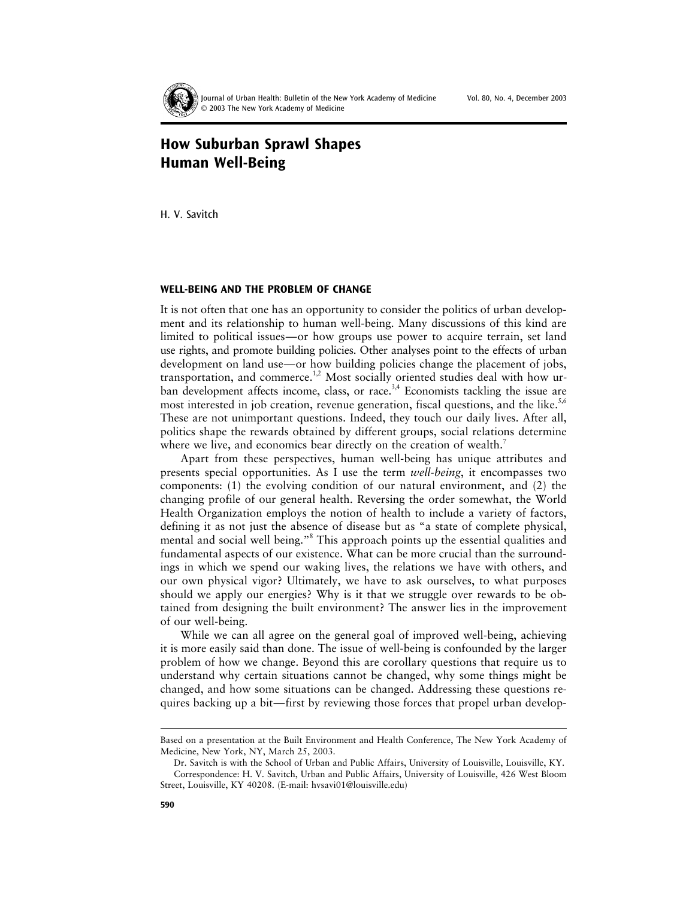

Journal of Urban Health: Bulletin of the New York Academy of Medicine Vol. 80, No. 4, December 2003 2003 The New York Academy of Medicine

# **How Suburban Sprawl Shapes Human Well-Being**

H. V. Savitch

#### **WELL-BEING AND THE PROBLEM OF CHANGE**

It is not often that one has an opportunity to consider the politics of urban development and its relationship to human well-being. Many discussions of this kind are limited to political issues—or how groups use power to acquire terrain, set land use rights, and promote building policies. Other analyses point to the effects of urban development on land use—or how building policies change the placement of jobs, transportation, and commerce.<sup>1,2</sup> Most socially oriented studies deal with how urban development affects income, class, or race.<sup>3,4</sup> Economists tackling the issue are most interested in job creation, revenue generation, fiscal questions, and the like.<sup>5,6</sup> These are not unimportant questions. Indeed, they touch our daily lives. After all, politics shape the rewards obtained by different groups, social relations determine where we live, and economics bear directly on the creation of wealth.<sup>7</sup>

Apart from these perspectives, human well-being has unique attributes and presents special opportunities. As I use the term *well-being*, it encompasses two components: (1) the evolving condition of our natural environment, and (2) the changing profile of our general health. Reversing the order somewhat, the World Health Organization employs the notion of health to include a variety of factors, defining it as not just the absence of disease but as "a state of complete physical, mental and social well being."<sup>8</sup> This approach points up the essential qualities and fundamental aspects of our existence. What can be more crucial than the surroundings in which we spend our waking lives, the relations we have with others, and our own physical vigor? Ultimately, we have to ask ourselves, to what purposes should we apply our energies? Why is it that we struggle over rewards to be obtained from designing the built environment? The answer lies in the improvement of our well-being.

While we can all agree on the general goal of improved well-being, achieving it is more easily said than done. The issue of well-being is confounded by the larger problem of how we change. Beyond this are corollary questions that require us to understand why certain situations cannot be changed, why some things might be changed, and how some situations can be changed. Addressing these questions requires backing up a bit—first by reviewing those forces that propel urban develop-

Based on a presentation at the Built Environment and Health Conference, The New York Academy of Medicine, New York, NY, March 25, 2003.

Dr. Savitch is with the School of Urban and Public Affairs, University of Louisville, Louisville, KY. Correspondence: H. V. Savitch, Urban and Public Affairs, University of Louisville, 426 West Bloom Street, Louisville, KY 40208. (E-mail: hvsavi01@louisville.edu)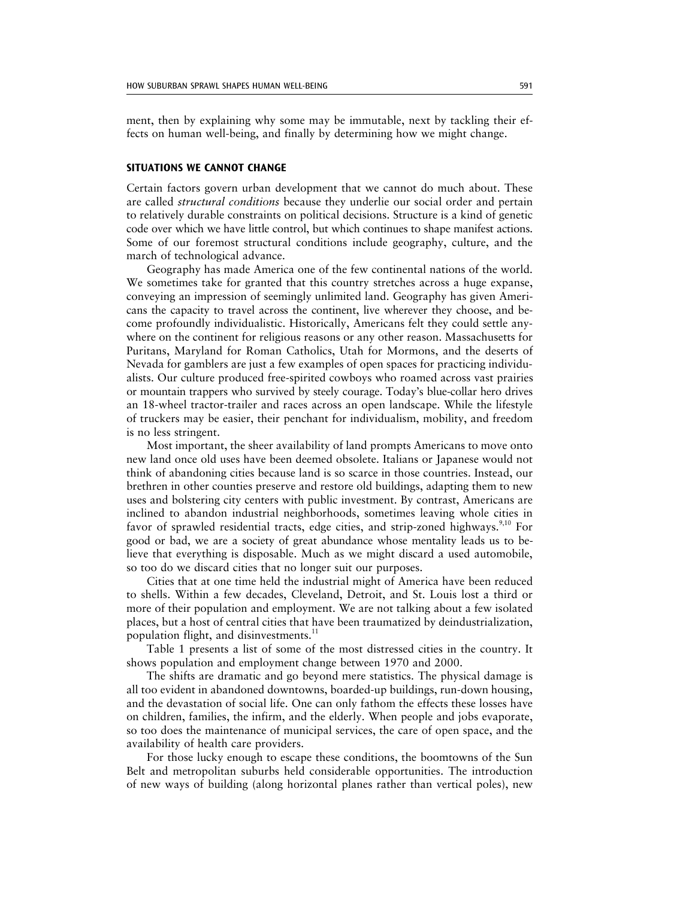ment, then by explaining why some may be immutable, next by tackling their effects on human well-being, and finally by determining how we might change.

## **SITUATIONS WE CANNOT CHANGE**

Certain factors govern urban development that we cannot do much about. These are called *structural conditions* because they underlie our social order and pertain to relatively durable constraints on political decisions. Structure is a kind of genetic code over which we have little control, but which continues to shape manifest actions. Some of our foremost structural conditions include geography, culture, and the march of technological advance.

Geography has made America one of the few continental nations of the world. We sometimes take for granted that this country stretches across a huge expanse, conveying an impression of seemingly unlimited land. Geography has given Americans the capacity to travel across the continent, live wherever they choose, and become profoundly individualistic. Historically, Americans felt they could settle anywhere on the continent for religious reasons or any other reason. Massachusetts for Puritans, Maryland for Roman Catholics, Utah for Mormons, and the deserts of Nevada for gamblers are just a few examples of open spaces for practicing individualists. Our culture produced free-spirited cowboys who roamed across vast prairies or mountain trappers who survived by steely courage. Today's blue-collar hero drives an 18-wheel tractor-trailer and races across an open landscape. While the lifestyle of truckers may be easier, their penchant for individualism, mobility, and freedom is no less stringent.

Most important, the sheer availability of land prompts Americans to move onto new land once old uses have been deemed obsolete. Italians or Japanese would not think of abandoning cities because land is so scarce in those countries. Instead, our brethren in other counties preserve and restore old buildings, adapting them to new uses and bolstering city centers with public investment. By contrast, Americans are inclined to abandon industrial neighborhoods, sometimes leaving whole cities in favor of sprawled residential tracts, edge cities, and strip-zoned highways.<sup>9,10</sup> For good or bad, we are a society of great abundance whose mentality leads us to believe that everything is disposable. Much as we might discard a used automobile, so too do we discard cities that no longer suit our purposes.

Cities that at one time held the industrial might of America have been reduced to shells. Within a few decades, Cleveland, Detroit, and St. Louis lost a third or more of their population and employment. We are not talking about a few isolated places, but a host of central cities that have been traumatized by deindustrialization, population flight, and disinvestments.<sup>11</sup>

Table 1 presents a list of some of the most distressed cities in the country. It shows population and employment change between 1970 and 2000.

The shifts are dramatic and go beyond mere statistics. The physical damage is all too evident in abandoned downtowns, boarded-up buildings, run-down housing, and the devastation of social life. One can only fathom the effects these losses have on children, families, the infirm, and the elderly. When people and jobs evaporate, so too does the maintenance of municipal services, the care of open space, and the availability of health care providers.

For those lucky enough to escape these conditions, the boomtowns of the Sun Belt and metropolitan suburbs held considerable opportunities. The introduction of new ways of building (along horizontal planes rather than vertical poles), new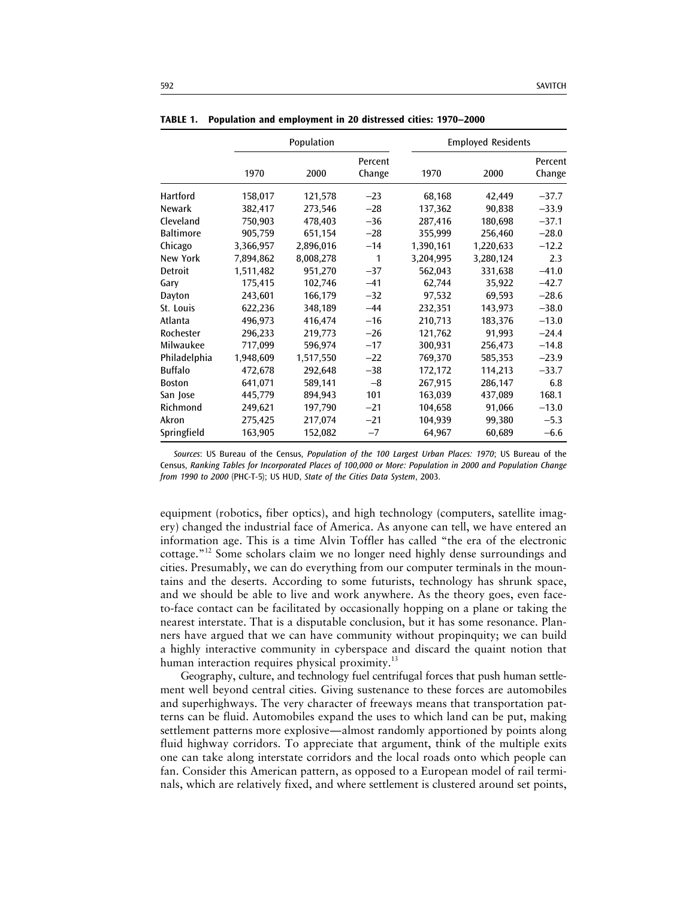|                  | Population |           |                   | <b>Employed Residents</b> |           |                   |
|------------------|------------|-----------|-------------------|---------------------------|-----------|-------------------|
|                  | 1970       | 2000      | Percent<br>Change | 1970                      | 2000      | Percent<br>Change |
| Hartford         | 158,017    | 121,578   | $-23$             | 68,168                    | 42,449    | $-37.7$           |
| Newark           | 382,417    | 273,546   | $-28$             | 137,362                   | 90,838    | $-33.9$           |
| Cleveland        | 750,903    | 478,403   | $-36$             | 287,416                   | 180,698   | $-37.1$           |
| <b>Baltimore</b> | 905,759    | 651,154   | $-28$             | 355,999                   | 256,460   | $-28.0$           |
| Chicago          | 3,366,957  | 2,896,016 | $-14$             | 1,390,161                 | 1,220,633 | $-12.2$           |
| New York         | 7,894,862  | 8,008,278 | 1                 | 3,204,995                 | 3,280,124 | 2.3               |
| Detroit          | 1,511,482  | 951,270   | $-37$             | 562,043                   | 331,638   | $-41.0$           |
| Gary             | 175,415    | 102,746   | $-41$             | 62,744                    | 35,922    | $-42.7$           |
| Dayton           | 243,601    | 166,179   | $-32$             | 97,532                    | 69,593    | $-28.6$           |
| St. Louis        | 622,236    | 348,189   | $-44$             | 232,351                   | 143,973   | $-38.0$           |
| Atlanta          | 496,973    | 416,474   | $-16$             | 210,713                   | 183,376   | $-13.0$           |
| Rochester        | 296,233    | 219,773   | $-26$             | 121,762                   | 91,993    | $-24.4$           |
| Milwaukee        | 717,099    | 596,974   | $-17$             | 300,931                   | 256,473   | $-14.8$           |
| Philadelphia     | 1,948,609  | 1,517,550 | $-22$             | 769,370                   | 585,353   | $-23.9$           |
| <b>Buffalo</b>   | 472,678    | 292,648   | $-38$             | 172,172                   | 114,213   | $-33.7$           |
| <b>Boston</b>    | 641,071    | 589,141   | $-8$              | 267,915                   | 286,147   | 6.8               |
| San Jose         | 445,779    | 894,943   | 101               | 163,039                   | 437,089   | 168.1             |
| Richmond         | 249,621    | 197,790   | $-21$             | 104,658                   | 91,066    | $-13.0$           |
| Akron            | 275,425    | 217,074   | $-21$             | 104,939                   | 99,380    | $-5.3$            |
| Springfield      | 163,905    | 152,082   | $-7$              | 64,967                    | 60,689    | $-6.6$            |

**TABLE 1. Population and employment in 20 distressed cities: 1970–2000**

*Sources*: US Bureau of the Census, *Population of the 100 Largest Urban Places: 1970*; US Bureau of the Census, *Ranking Tables for Incorporated Places of 100,000 or More: Population in 2000 and Population Change from 1990 to 2000* (PHC-T-5); US HUD, *State of the Cities Data System*, 2003.

equipment (robotics, fiber optics), and high technology (computers, satellite imagery) changed the industrial face of America. As anyone can tell, we have entered an information age. This is a time Alvin Toffler has called "the era of the electronic cottage."<sup>12</sup> Some scholars claim we no longer need highly dense surroundings and cities. Presumably, we can do everything from our computer terminals in the mountains and the deserts. According to some futurists, technology has shrunk space, and we should be able to live and work anywhere. As the theory goes, even faceto-face contact can be facilitated by occasionally hopping on a plane or taking the nearest interstate. That is a disputable conclusion, but it has some resonance. Planners have argued that we can have community without propinquity; we can build a highly interactive community in cyberspace and discard the quaint notion that human interaction requires physical proximity.<sup>13</sup>

Geography, culture, and technology fuel centrifugal forces that push human settlement well beyond central cities. Giving sustenance to these forces are automobiles and superhighways. The very character of freeways means that transportation patterns can be fluid. Automobiles expand the uses to which land can be put, making settlement patterns more explosive—almost randomly apportioned by points along fluid highway corridors. To appreciate that argument, think of the multiple exits one can take along interstate corridors and the local roads onto which people can fan. Consider this American pattern, as opposed to a European model of rail terminals, which are relatively fixed, and where settlement is clustered around set points,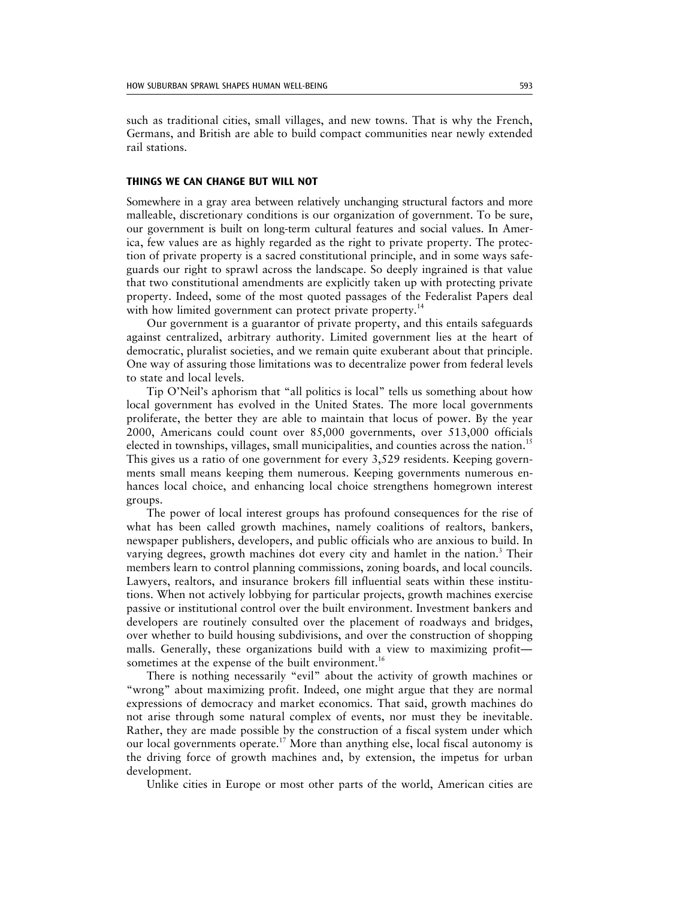such as traditional cities, small villages, and new towns. That is why the French, Germans, and British are able to build compact communities near newly extended rail stations.

#### **THINGS WE CAN CHANGE BUT WILL NOT**

Somewhere in a gray area between relatively unchanging structural factors and more malleable, discretionary conditions is our organization of government. To be sure, our government is built on long-term cultural features and social values. In America, few values are as highly regarded as the right to private property. The protection of private property is a sacred constitutional principle, and in some ways safeguards our right to sprawl across the landscape. So deeply ingrained is that value that two constitutional amendments are explicitly taken up with protecting private property. Indeed, some of the most quoted passages of the Federalist Papers deal with how limited government can protect private property.<sup>14</sup>

Our government is a guarantor of private property, and this entails safeguards against centralized, arbitrary authority. Limited government lies at the heart of democratic, pluralist societies, and we remain quite exuberant about that principle. One way of assuring those limitations was to decentralize power from federal levels to state and local levels.

Tip O'Neil's aphorism that "all politics is local" tells us something about how local government has evolved in the United States. The more local governments proliferate, the better they are able to maintain that locus of power. By the year 2000, Americans could count over 85,000 governments, over 513,000 officials elected in townships, villages, small municipalities, and counties across the nation.<sup>15</sup> This gives us a ratio of one government for every 3,529 residents. Keeping governments small means keeping them numerous. Keeping governments numerous enhances local choice, and enhancing local choice strengthens homegrown interest groups.

The power of local interest groups has profound consequences for the rise of what has been called growth machines, namely coalitions of realtors, bankers, newspaper publishers, developers, and public officials who are anxious to build. In varying degrees, growth machines dot every city and hamlet in the nation.<sup>3</sup> Their members learn to control planning commissions, zoning boards, and local councils. Lawyers, realtors, and insurance brokers fill influential seats within these institutions. When not actively lobbying for particular projects, growth machines exercise passive or institutional control over the built environment. Investment bankers and developers are routinely consulted over the placement of roadways and bridges, over whether to build housing subdivisions, and over the construction of shopping malls. Generally, these organizations build with a view to maximizing profit sometimes at the expense of the built environment.<sup>16</sup>

There is nothing necessarily "evil" about the activity of growth machines or "wrong" about maximizing profit. Indeed, one might argue that they are normal expressions of democracy and market economics. That said, growth machines do not arise through some natural complex of events, nor must they be inevitable. Rather, they are made possible by the construction of a fiscal system under which our local governments operate.<sup>17</sup> More than anything else, local fiscal autonomy is the driving force of growth machines and, by extension, the impetus for urban development.

Unlike cities in Europe or most other parts of the world, American cities are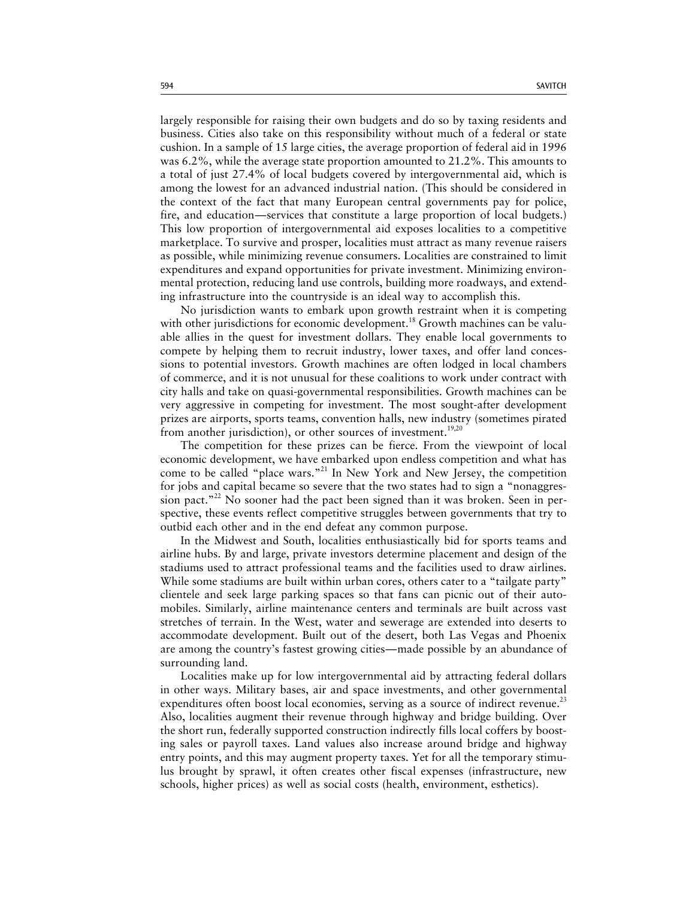largely responsible for raising their own budgets and do so by taxing residents and business. Cities also take on this responsibility without much of a federal or state cushion. In a sample of 15 large cities, the average proportion of federal aid in 1996 was 6.2%, while the average state proportion amounted to 21.2%. This amounts to a total of just 27.4% of local budgets covered by intergovernmental aid, which is among the lowest for an advanced industrial nation. (This should be considered in the context of the fact that many European central governments pay for police, fire, and education—services that constitute a large proportion of local budgets.) This low proportion of intergovernmental aid exposes localities to a competitive marketplace. To survive and prosper, localities must attract as many revenue raisers as possible, while minimizing revenue consumers. Localities are constrained to limit expenditures and expand opportunities for private investment. Minimizing environmental protection, reducing land use controls, building more roadways, and extending infrastructure into the countryside is an ideal way to accomplish this.

No jurisdiction wants to embark upon growth restraint when it is competing with other jurisdictions for economic development.<sup>18</sup> Growth machines can be valuable allies in the quest for investment dollars. They enable local governments to compete by helping them to recruit industry, lower taxes, and offer land concessions to potential investors. Growth machines are often lodged in local chambers of commerce, and it is not unusual for these coalitions to work under contract with city halls and take on quasi-governmental responsibilities. Growth machines can be very aggressive in competing for investment. The most sought-after development prizes are airports, sports teams, convention halls, new industry (sometimes pirated from another jurisdiction), or other sources of investment.<sup>19,20</sup>

The competition for these prizes can be fierce. From the viewpoint of local economic development, we have embarked upon endless competition and what has come to be called "place wars."<sup>21</sup> In New York and New Jersey, the competition for jobs and capital became so severe that the two states had to sign a "nonaggression pact."<sup>22</sup> No sooner had the pact been signed than it was broken. Seen in perspective, these events reflect competitive struggles between governments that try to outbid each other and in the end defeat any common purpose.

In the Midwest and South, localities enthusiastically bid for sports teams and airline hubs. By and large, private investors determine placement and design of the stadiums used to attract professional teams and the facilities used to draw airlines. While some stadiums are built within urban cores, others cater to a "tailgate party" clientele and seek large parking spaces so that fans can picnic out of their automobiles. Similarly, airline maintenance centers and terminals are built across vast stretches of terrain. In the West, water and sewerage are extended into deserts to accommodate development. Built out of the desert, both Las Vegas and Phoenix are among the country's fastest growing cities—made possible by an abundance of surrounding land.

Localities make up for low intergovernmental aid by attracting federal dollars in other ways. Military bases, air and space investments, and other governmental expenditures often boost local economies, serving as a source of indirect revenue.<sup>23</sup> Also, localities augment their revenue through highway and bridge building. Over the short run, federally supported construction indirectly fills local coffers by boosting sales or payroll taxes. Land values also increase around bridge and highway entry points, and this may augment property taxes. Yet for all the temporary stimulus brought by sprawl, it often creates other fiscal expenses (infrastructure, new schools, higher prices) as well as social costs (health, environment, esthetics).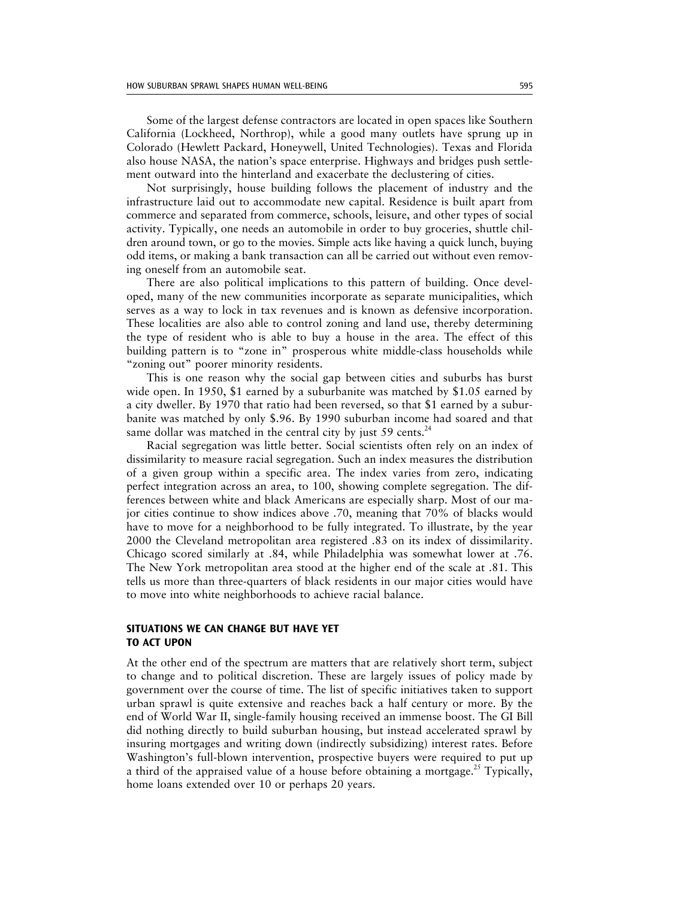Some of the largest defense contractors are located in open spaces like Southern California (Lockheed, Northrop), while a good many outlets have sprung up in Colorado (Hewlett Packard, Honeywell, United Technologies). Texas and Florida also house NASA, the nation's space enterprise. Highways and bridges push settlement outward into the hinterland and exacerbate the declustering of cities.

Not surprisingly, house building follows the placement of industry and the infrastructure laid out to accommodate new capital. Residence is built apart from commerce and separated from commerce, schools, leisure, and other types of social activity. Typically, one needs an automobile in order to buy groceries, shuttle children around town, or go to the movies. Simple acts like having a quick lunch, buying odd items, or making a bank transaction can all be carried out without even removing oneself from an automobile seat.

There are also political implications to this pattern of building. Once developed, many of the new communities incorporate as separate municipalities, which serves as a way to lock in tax revenues and is known as defensive incorporation. These localities are also able to control zoning and land use, thereby determining the type of resident who is able to buy a house in the area. The effect of this building pattern is to "zone in" prosperous white middle-class households while "zoning out" poorer minority residents.

This is one reason why the social gap between cities and suburbs has burst wide open. In 1950, \$1 earned by a suburbanite was matched by \$1.05 earned by a city dweller. By 1970 that ratio had been reversed, so that \$1 earned by a suburbanite was matched by only \$.96. By 1990 suburban income had soared and that same dollar was matched in the central city by just 59 cents.<sup>2</sup>

Racial segregation was little better. Social scientists often rely on an index of dissimilarity to measure racial segregation. Such an index measures the distribution of a given group within a specific area. The index varies from zero, indicating perfect integration across an area, to 100, showing complete segregation. The differences between white and black Americans are especially sharp. Most of our major cities continue to show indices above .70, meaning that 70% of blacks would have to move for a neighborhood to be fully integrated. To illustrate, by the year 2000 the Cleveland metropolitan area registered .83 on its index of dissimilarity. Chicago scored similarly at .84, while Philadelphia was somewhat lower at .76. The New York metropolitan area stood at the higher end of the scale at .81. This tells us more than three-quarters of black residents in our major cities would have to move into white neighborhoods to achieve racial balance.

# **SITUATIONS WE CAN CHANGE BUT HAVE YET TO ACT UPON**

At the other end of the spectrum are matters that are relatively short term, subject to change and to political discretion. These are largely issues of policy made by government over the course of time. The list of specific initiatives taken to support urban sprawl is quite extensive and reaches back a half century or more. By the end of World War II, single-family housing received an immense boost. The GI Bill did nothing directly to build suburban housing, but instead accelerated sprawl by insuring mortgages and writing down (indirectly subsidizing) interest rates. Before Washington's full-blown intervention, prospective buyers were required to put up a third of the appraised value of a house before obtaining a mortgage.<sup>25</sup> Typically, home loans extended over 10 or perhaps 20 years.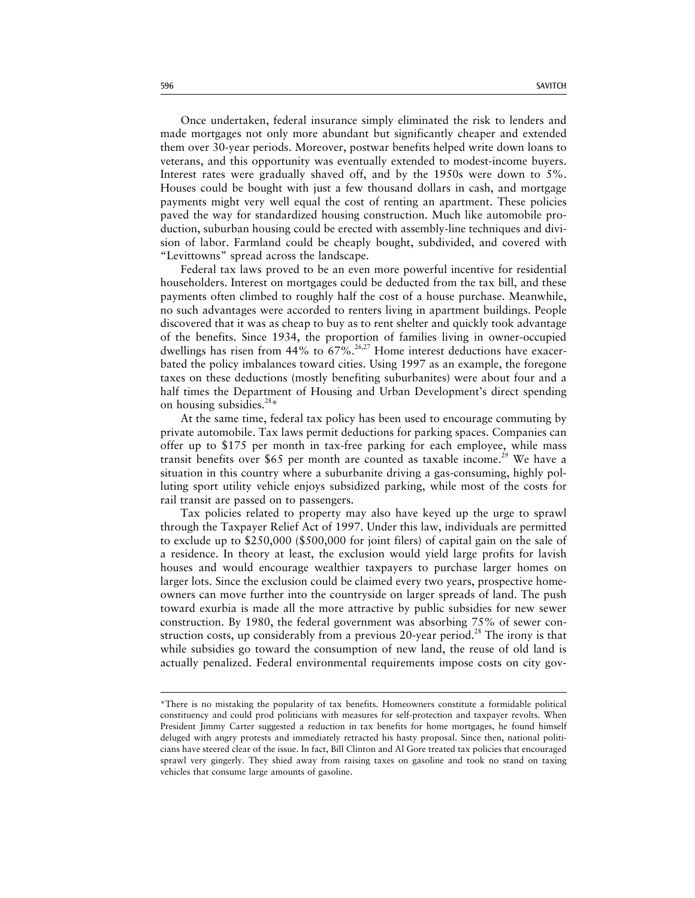Once undertaken, federal insurance simply eliminated the risk to lenders and made mortgages not only more abundant but significantly cheaper and extended them over 30-year periods. Moreover, postwar benefits helped write down loans to veterans, and this opportunity was eventually extended to modest-income buyers. Interest rates were gradually shaved off, and by the 1950s were down to 5%. Houses could be bought with just a few thousand dollars in cash, and mortgage payments might very well equal the cost of renting an apartment. These policies paved the way for standardized housing construction. Much like automobile production, suburban housing could be erected with assembly-line techniques and division of labor. Farmland could be cheaply bought, subdivided, and covered with "Levittowns" spread across the landscape.

Federal tax laws proved to be an even more powerful incentive for residential householders. Interest on mortgages could be deducted from the tax bill, and these payments often climbed to roughly half the cost of a house purchase. Meanwhile, no such advantages were accorded to renters living in apartment buildings. People discovered that it was as cheap to buy as to rent shelter and quickly took advantage of the benefits. Since 1934, the proportion of families living in owner-occupied dwellings has risen from  $44\%$  to  $67\%$ .<sup>26,27</sup> Home interest deductions have exacerbated the policy imbalances toward cities. Using 1997 as an example, the foregone taxes on these deductions (mostly benefiting suburbanites) were about four and a half times the Department of Housing and Urban Development's direct spending on housing subsidies.<sup>28\*</sup>

At the same time, federal tax policy has been used to encourage commuting by private automobile. Tax laws permit deductions for parking spaces. Companies can offer up to \$175 per month in tax-free parking for each employee, while mass transit benefits over \$65 per month are counted as taxable income.<sup>29</sup> We have a situation in this country where a suburbanite driving a gas-consuming, highly polluting sport utility vehicle enjoys subsidized parking, while most of the costs for rail transit are passed on to passengers.

Tax policies related to property may also have keyed up the urge to sprawl through the Taxpayer Relief Act of 1997. Under this law, individuals are permitted to exclude up to \$250,000 (\$500,000 for joint filers) of capital gain on the sale of a residence. In theory at least, the exclusion would yield large profits for lavish houses and would encourage wealthier taxpayers to purchase larger homes on larger lots. Since the exclusion could be claimed every two years, prospective homeowners can move further into the countryside on larger spreads of land. The push toward exurbia is made all the more attractive by public subsidies for new sewer construction. By 1980, the federal government was absorbing 75% of sewer construction costs, up considerably from a previous 20-year period.<sup>28</sup> The irony is that while subsidies go toward the consumption of new land, the reuse of old land is actually penalized. Federal environmental requirements impose costs on city gov-

<sup>\*</sup>There is no mistaking the popularity of tax benefits. Homeowners constitute a formidable political constituency and could prod politicians with measures for self-protection and taxpayer revolts. When President Jimmy Carter suggested a reduction in tax benefits for home mortgages, he found himself deluged with angry protests and immediately retracted his hasty proposal. Since then, national politicians have steered clear of the issue. In fact, Bill Clinton and Al Gore treated tax policies that encouraged sprawl very gingerly. They shied away from raising taxes on gasoline and took no stand on taxing vehicles that consume large amounts of gasoline.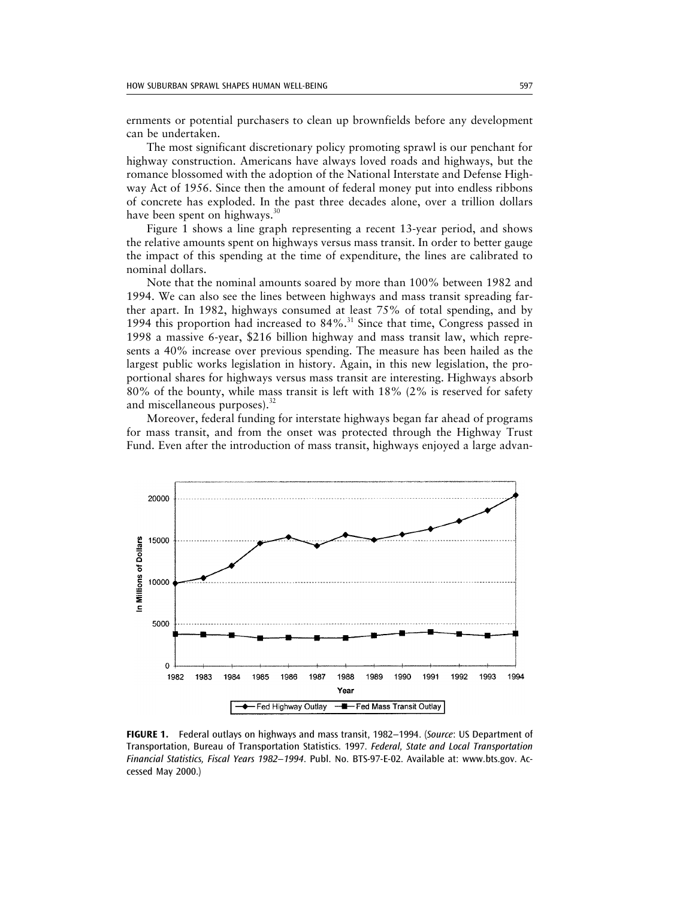ernments or potential purchasers to clean up brownfields before any development can be undertaken.

The most significant discretionary policy promoting sprawl is our penchant for highway construction. Americans have always loved roads and highways, but the romance blossomed with the adoption of the National Interstate and Defense Highway Act of 1956. Since then the amount of federal money put into endless ribbons of concrete has exploded. In the past three decades alone, over a trillion dollars have been spent on highways. $30$ 

Figure 1 shows a line graph representing a recent 13-year period, and shows the relative amounts spent on highways versus mass transit. In order to better gauge the impact of this spending at the time of expenditure, the lines are calibrated to nominal dollars.

Note that the nominal amounts soared by more than 100% between 1982 and 1994. We can also see the lines between highways and mass transit spreading farther apart. In 1982, highways consumed at least 75% of total spending, and by 1994 this proportion had increased to 84%.<sup>31</sup> Since that time, Congress passed in 1998 a massive 6-year, \$216 billion highway and mass transit law, which represents a 40% increase over previous spending. The measure has been hailed as the largest public works legislation in history. Again, in this new legislation, the proportional shares for highways versus mass transit are interesting. Highways absorb 80% of the bounty, while mass transit is left with 18% (2% is reserved for safety and miscellaneous purposes). $32$ 

Moreover, federal funding for interstate highways began far ahead of programs for mass transit, and from the onset was protected through the Highway Trust Fund. Even after the introduction of mass transit, highways enjoyed a large advan-



**FIGURE 1.** Federal outlays on highways and mass transit, 1982–1994. (*Source*: US Department of Transportation, Bureau of Transportation Statistics. 1997. *Federal, State and Local Transportation Financial Statistics, Fiscal Years 1982–1994*. Publ. No. BTS-97-E-02. Available at: www.bts.gov. Accessed May 2000.)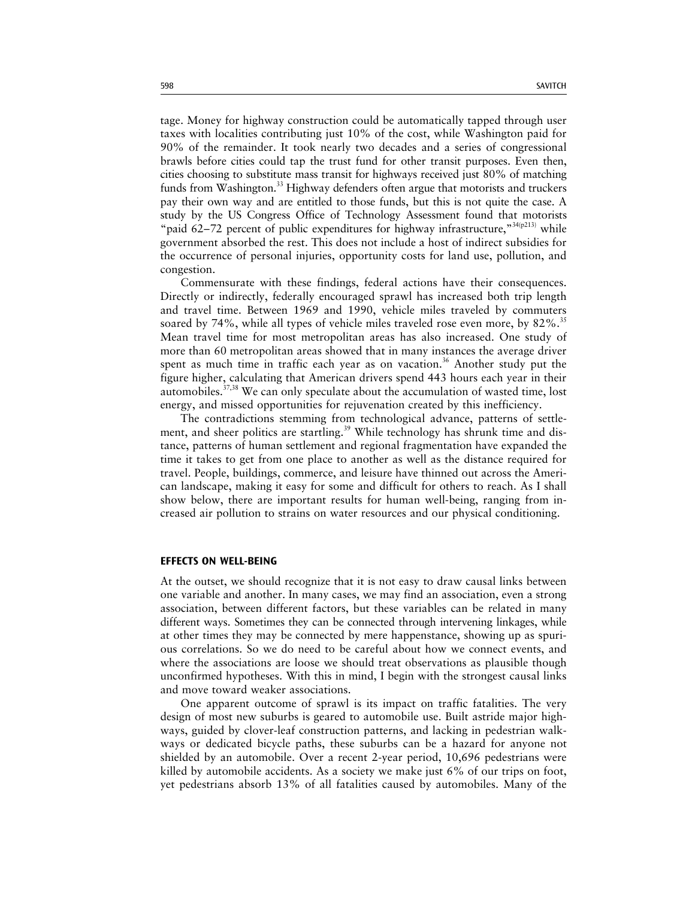tage. Money for highway construction could be automatically tapped through user taxes with localities contributing just 10% of the cost, while Washington paid for 90% of the remainder. It took nearly two decades and a series of congressional brawls before cities could tap the trust fund for other transit purposes. Even then, cities choosing to substitute mass transit for highways received just 80% of matching funds from Washington.<sup>33</sup> Highway defenders often argue that motorists and truckers pay their own way and are entitled to those funds, but this is not quite the case. A study by the US Congress Office of Technology Assessment found that motorists "paid 62-72 percent of public expenditures for highway infrastructure," $34(p213)$  while government absorbed the rest. This does not include a host of indirect subsidies for the occurrence of personal injuries, opportunity costs for land use, pollution, and congestion.

Commensurate with these findings, federal actions have their consequences. Directly or indirectly, federally encouraged sprawl has increased both trip length and travel time. Between 1969 and 1990, vehicle miles traveled by commuters soared by 74%, while all types of vehicle miles traveled rose even more, by 82%.<sup>35</sup> Mean travel time for most metropolitan areas has also increased. One study of more than 60 metropolitan areas showed that in many instances the average driver spent as much time in traffic each year as on vacation.<sup>36</sup> Another study put the figure higher, calculating that American drivers spend 443 hours each year in their automobiles.37,38 We can only speculate about the accumulation of wasted time, lost energy, and missed opportunities for rejuvenation created by this inefficiency.

The contradictions stemming from technological advance, patterns of settlement, and sheer politics are startling.<sup>39</sup> While technology has shrunk time and distance, patterns of human settlement and regional fragmentation have expanded the time it takes to get from one place to another as well as the distance required for travel. People, buildings, commerce, and leisure have thinned out across the American landscape, making it easy for some and difficult for others to reach. As I shall show below, there are important results for human well-being, ranging from increased air pollution to strains on water resources and our physical conditioning.

### **EFFECTS ON WELL-BEING**

At the outset, we should recognize that it is not easy to draw causal links between one variable and another. In many cases, we may find an association, even a strong association, between different factors, but these variables can be related in many different ways. Sometimes they can be connected through intervening linkages, while at other times they may be connected by mere happenstance, showing up as spurious correlations. So we do need to be careful about how we connect events, and where the associations are loose we should treat observations as plausible though unconfirmed hypotheses. With this in mind, I begin with the strongest causal links and move toward weaker associations.

One apparent outcome of sprawl is its impact on traffic fatalities. The very design of most new suburbs is geared to automobile use. Built astride major highways, guided by clover-leaf construction patterns, and lacking in pedestrian walkways or dedicated bicycle paths, these suburbs can be a hazard for anyone not shielded by an automobile. Over a recent 2-year period, 10,696 pedestrians were killed by automobile accidents. As a society we make just 6% of our trips on foot, yet pedestrians absorb 13% of all fatalities caused by automobiles. Many of the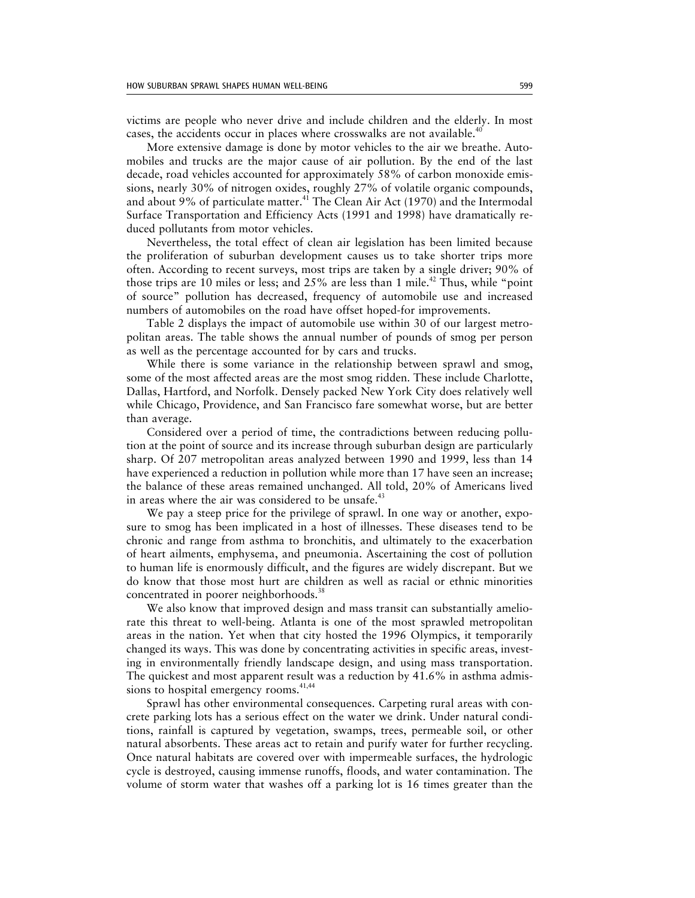victims are people who never drive and include children and the elderly. In most cases, the accidents occur in places where crosswalks are not available.<sup>40</sup>

More extensive damage is done by motor vehicles to the air we breathe. Automobiles and trucks are the major cause of air pollution. By the end of the last decade, road vehicles accounted for approximately 58% of carbon monoxide emissions, nearly 30% of nitrogen oxides, roughly 27% of volatile organic compounds, and about 9% of particulate matter.<sup>41</sup> The Clean Air Act (1970) and the Intermodal Surface Transportation and Efficiency Acts (1991 and 1998) have dramatically reduced pollutants from motor vehicles.

Nevertheless, the total effect of clean air legislation has been limited because the proliferation of suburban development causes us to take shorter trips more often. According to recent surveys, most trips are taken by a single driver; 90% of those trips are 10 miles or less; and  $25\%$  are less than 1 mile.<sup>42</sup> Thus, while "point" of source" pollution has decreased, frequency of automobile use and increased numbers of automobiles on the road have offset hoped-for improvements.

Table 2 displays the impact of automobile use within 30 of our largest metropolitan areas. The table shows the annual number of pounds of smog per person as well as the percentage accounted for by cars and trucks.

While there is some variance in the relationship between sprawl and smog, some of the most affected areas are the most smog ridden. These include Charlotte, Dallas, Hartford, and Norfolk. Densely packed New York City does relatively well while Chicago, Providence, and San Francisco fare somewhat worse, but are better than average.

Considered over a period of time, the contradictions between reducing pollution at the point of source and its increase through suburban design are particularly sharp. Of 207 metropolitan areas analyzed between 1990 and 1999, less than 14 have experienced a reduction in pollution while more than 17 have seen an increase; the balance of these areas remained unchanged. All told, 20% of Americans lived in areas where the air was considered to be unsafe. $43$ 

We pay a steep price for the privilege of sprawl. In one way or another, exposure to smog has been implicated in a host of illnesses. These diseases tend to be chronic and range from asthma to bronchitis, and ultimately to the exacerbation of heart ailments, emphysema, and pneumonia. Ascertaining the cost of pollution to human life is enormously difficult, and the figures are widely discrepant. But we do know that those most hurt are children as well as racial or ethnic minorities concentrated in poorer neighborhoods.<sup>38</sup>

We also know that improved design and mass transit can substantially ameliorate this threat to well-being. Atlanta is one of the most sprawled metropolitan areas in the nation. Yet when that city hosted the 1996 Olympics, it temporarily changed its ways. This was done by concentrating activities in specific areas, investing in environmentally friendly landscape design, and using mass transportation. The quickest and most apparent result was a reduction by 41.6% in asthma admissions to hospital emergency rooms.<sup>41,44</sup>

Sprawl has other environmental consequences. Carpeting rural areas with concrete parking lots has a serious effect on the water we drink. Under natural conditions, rainfall is captured by vegetation, swamps, trees, permeable soil, or other natural absorbents. These areas act to retain and purify water for further recycling. Once natural habitats are covered over with impermeable surfaces, the hydrologic cycle is destroyed, causing immense runoffs, floods, and water contamination. The volume of storm water that washes off a parking lot is 16 times greater than the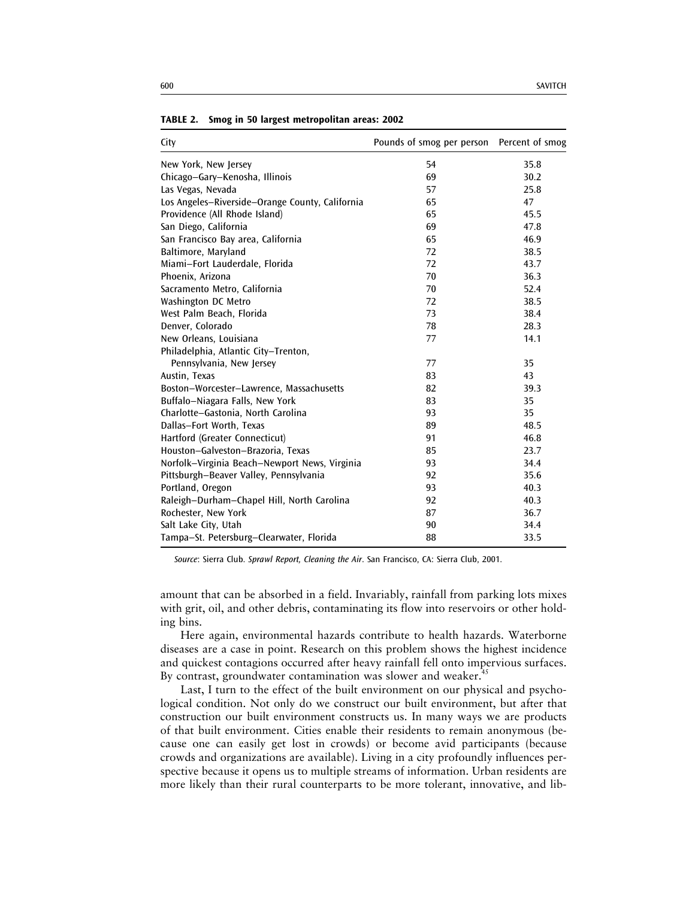| City                                            | Pounds of smog per person Percent of smog |      |
|-------------------------------------------------|-------------------------------------------|------|
| New York, New Jersey                            | 54                                        | 35.8 |
| Chicago-Gary-Kenosha, Illinois                  | 69                                        | 30.2 |
| Las Vegas, Nevada                               | 57                                        | 25.8 |
| Los Angeles-Riverside-Orange County, California | 65                                        | 47   |
| Providence (All Rhode Island)                   | 65                                        | 45.5 |
| San Diego, California                           | 69                                        | 47.8 |
| San Francisco Bay area, California              | 65                                        | 46.9 |
| Baltimore, Maryland                             | 72                                        | 38.5 |
| Miami-Fort Lauderdale, Florida                  | 72                                        | 43.7 |
| Phoenix, Arizona                                | 70                                        | 36.3 |
| Sacramento Metro, California                    | 70                                        | 52.4 |
| Washington DC Metro                             | 72                                        | 38.5 |
| West Palm Beach, Florida                        | 73                                        | 38.4 |
| Denver, Colorado                                | 78                                        | 28.3 |
| New Orleans, Louisiana                          | 77                                        | 14.1 |
| Philadelphia, Atlantic City-Trenton,            |                                           |      |
| Pennsylvania, New Jersey                        | 77                                        | 35   |
| Austin, Texas                                   | 83                                        | 43   |
| Boston-Worcester-Lawrence, Massachusetts        | 82                                        | 39.3 |
| Buffalo-Niagara Falls, New York                 | 83                                        | 35   |
| Charlotte-Gastonia, North Carolina              | 93                                        | 35   |
| Dallas-Fort Worth, Texas                        | 89                                        | 48.5 |
| Hartford (Greater Connecticut)                  | 91                                        | 46.8 |
| Houston-Galveston-Brazoria, Texas               | 85                                        | 23.7 |
| Norfolk-Virginia Beach-Newport News, Virginia   | 93                                        | 34.4 |
| Pittsburgh-Beaver Valley, Pennsylvania          | 92                                        | 35.6 |
| Portland, Oregon                                | 93                                        | 40.3 |
| Raleigh-Durham-Chapel Hill, North Carolina      | 92                                        | 40.3 |
| Rochester, New York                             | 87                                        | 36.7 |
| Salt Lake City, Utah                            | 90                                        | 34.4 |
| Tampa-St. Petersburg-Clearwater, Florida        | 88                                        | 33.5 |

**TABLE 2. Smog in 50 largest metropolitan areas: 2002**

*Source*: Sierra Club. *Sprawl Report, Cleaning the Air*. San Francisco, CA: Sierra Club, 2001.

amount that can be absorbed in a field. Invariably, rainfall from parking lots mixes with grit, oil, and other debris, contaminating its flow into reservoirs or other holding bins.

Here again, environmental hazards contribute to health hazards. Waterborne diseases are a case in point. Research on this problem shows the highest incidence and quickest contagions occurred after heavy rainfall fell onto impervious surfaces. By contrast, groundwater contamination was slower and weaker.<sup>4</sup>

Last, I turn to the effect of the built environment on our physical and psychological condition. Not only do we construct our built environment, but after that construction our built environment constructs us. In many ways we are products of that built environment. Cities enable their residents to remain anonymous (because one can easily get lost in crowds) or become avid participants (because crowds and organizations are available). Living in a city profoundly influences perspective because it opens us to multiple streams of information. Urban residents are more likely than their rural counterparts to be more tolerant, innovative, and lib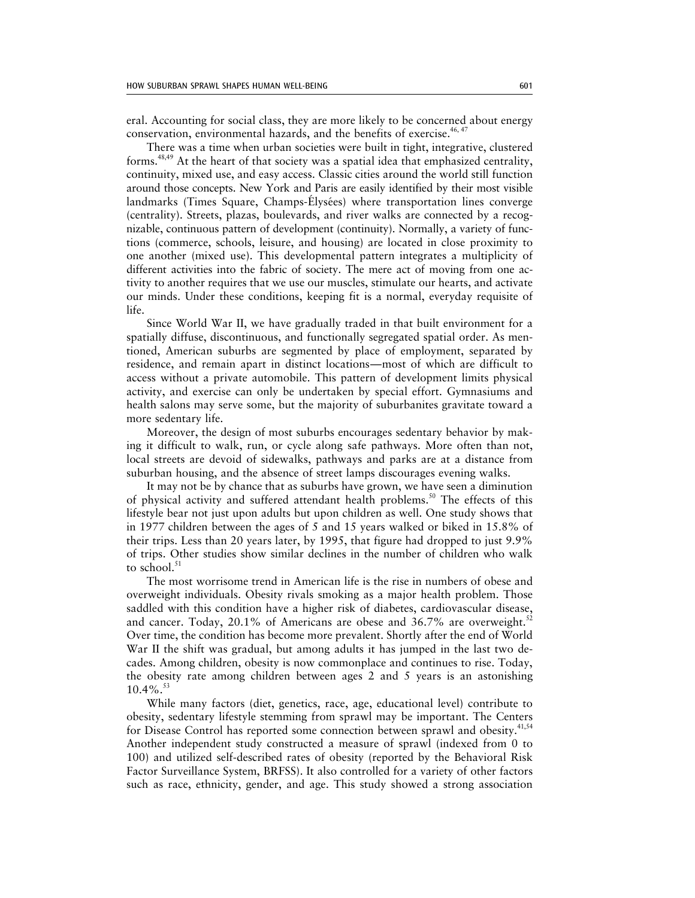eral. Accounting for social class, they are more likely to be concerned about energy conservation, environmental hazards, and the benefits of exercise.<sup>46, 47</sup>

There was a time when urban societies were built in tight, integrative, clustered forms. $48,49$  At the heart of that society was a spatial idea that emphasized centrality, continuity, mixed use, and easy access. Classic cities around the world still function around those concepts. New York and Paris are easily identified by their most visible landmarks (Times Square, Champs-Élysées) where transportation lines converge (centrality). Streets, plazas, boulevards, and river walks are connected by a recognizable, continuous pattern of development (continuity). Normally, a variety of functions (commerce, schools, leisure, and housing) are located in close proximity to one another (mixed use). This developmental pattern integrates a multiplicity of different activities into the fabric of society. The mere act of moving from one activity to another requires that we use our muscles, stimulate our hearts, and activate our minds. Under these conditions, keeping fit is a normal, everyday requisite of life.

Since World War II, we have gradually traded in that built environment for a spatially diffuse, discontinuous, and functionally segregated spatial order. As mentioned, American suburbs are segmented by place of employment, separated by residence, and remain apart in distinct locations—most of which are difficult to access without a private automobile. This pattern of development limits physical activity, and exercise can only be undertaken by special effort. Gymnasiums and health salons may serve some, but the majority of suburbanites gravitate toward a more sedentary life.

Moreover, the design of most suburbs encourages sedentary behavior by making it difficult to walk, run, or cycle along safe pathways. More often than not, local streets are devoid of sidewalks, pathways and parks are at a distance from suburban housing, and the absence of street lamps discourages evening walks.

It may not be by chance that as suburbs have grown, we have seen a diminution of physical activity and suffered attendant health problems.<sup>50</sup> The effects of this lifestyle bear not just upon adults but upon children as well. One study shows that in 1977 children between the ages of 5 and 15 years walked or biked in 15.8% of their trips. Less than 20 years later, by 1995, that figure had dropped to just 9.9% of trips. Other studies show similar declines in the number of children who walk to school.<sup>51</sup>

The most worrisome trend in American life is the rise in numbers of obese and overweight individuals. Obesity rivals smoking as a major health problem. Those saddled with this condition have a higher risk of diabetes, cardiovascular disease, and cancer. Today,  $20.1\%$  of Americans are obese and  $36.7\%$  are overweight.<sup>52</sup> Over time, the condition has become more prevalent. Shortly after the end of World War II the shift was gradual, but among adults it has jumped in the last two decades. Among children, obesity is now commonplace and continues to rise. Today, the obesity rate among children between ages 2 and 5 years is an astonishing 10.4%. $53$ 

While many factors (diet, genetics, race, age, educational level) contribute to obesity, sedentary lifestyle stemming from sprawl may be important. The Centers for Disease Control has reported some connection between sprawl and obesity.<sup>41,54</sup> Another independent study constructed a measure of sprawl (indexed from 0 to 100) and utilized self-described rates of obesity (reported by the Behavioral Risk Factor Surveillance System, BRFSS). It also controlled for a variety of other factors such as race, ethnicity, gender, and age. This study showed a strong association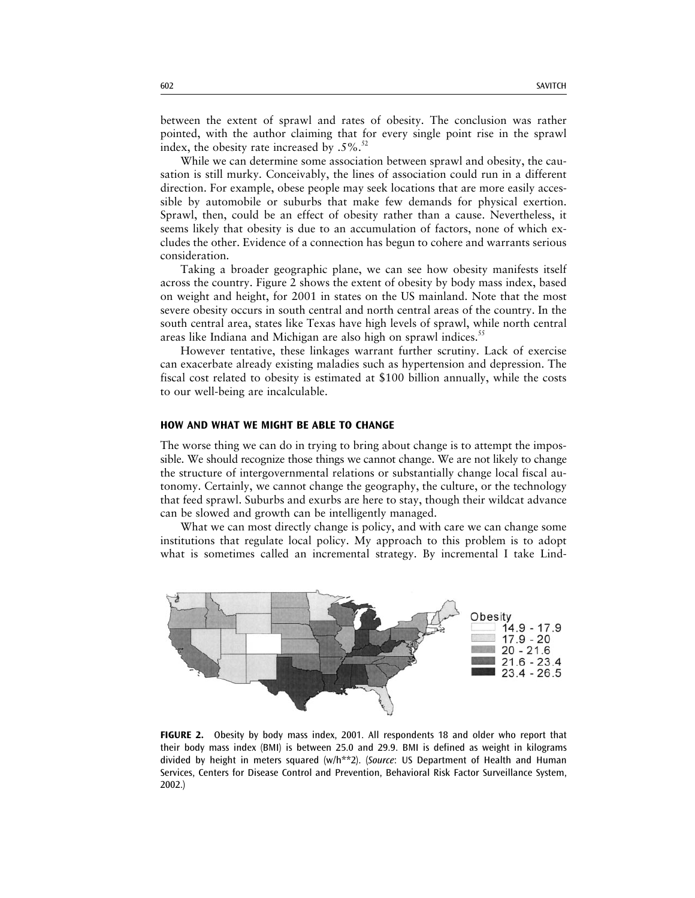between the extent of sprawl and rates of obesity. The conclusion was rather pointed, with the author claiming that for every single point rise in the sprawl index, the obesity rate increased by  $.5\%$ .<sup>52</sup>

While we can determine some association between sprawl and obesity, the causation is still murky. Conceivably, the lines of association could run in a different direction. For example, obese people may seek locations that are more easily accessible by automobile or suburbs that make few demands for physical exertion. Sprawl, then, could be an effect of obesity rather than a cause. Nevertheless, it seems likely that obesity is due to an accumulation of factors, none of which excludes the other. Evidence of a connection has begun to cohere and warrants serious consideration.

Taking a broader geographic plane, we can see how obesity manifests itself across the country. Figure 2 shows the extent of obesity by body mass index, based on weight and height, for 2001 in states on the US mainland. Note that the most severe obesity occurs in south central and north central areas of the country. In the south central area, states like Texas have high levels of sprawl, while north central areas like Indiana and Michigan are also high on sprawl indices.<sup>55</sup>

However tentative, these linkages warrant further scrutiny. Lack of exercise can exacerbate already existing maladies such as hypertension and depression. The fiscal cost related to obesity is estimated at \$100 billion annually, while the costs to our well-being are incalculable.

## **HOW AND WHAT WE MIGHT BE ABLE TO CHANGE**

The worse thing we can do in trying to bring about change is to attempt the impossible. We should recognize those things we cannot change. We are not likely to change the structure of intergovernmental relations or substantially change local fiscal autonomy. Certainly, we cannot change the geography, the culture, or the technology that feed sprawl. Suburbs and exurbs are here to stay, though their wildcat advance can be slowed and growth can be intelligently managed.

What we can most directly change is policy, and with care we can change some institutions that regulate local policy. My approach to this problem is to adopt what is sometimes called an incremental strategy. By incremental I take Lind-



**FIGURE 2.** Obesity by body mass index, 2001. All respondents 18 and older who report that their body mass index (BMI) is between 25.0 and 29.9. BMI is defined as weight in kilograms divided by height in meters squared (w/h\*\*2). (*Source*: US Department of Health and Human Services, Centers for Disease Control and Prevention, Behavioral Risk Factor Surveillance System, 2002.)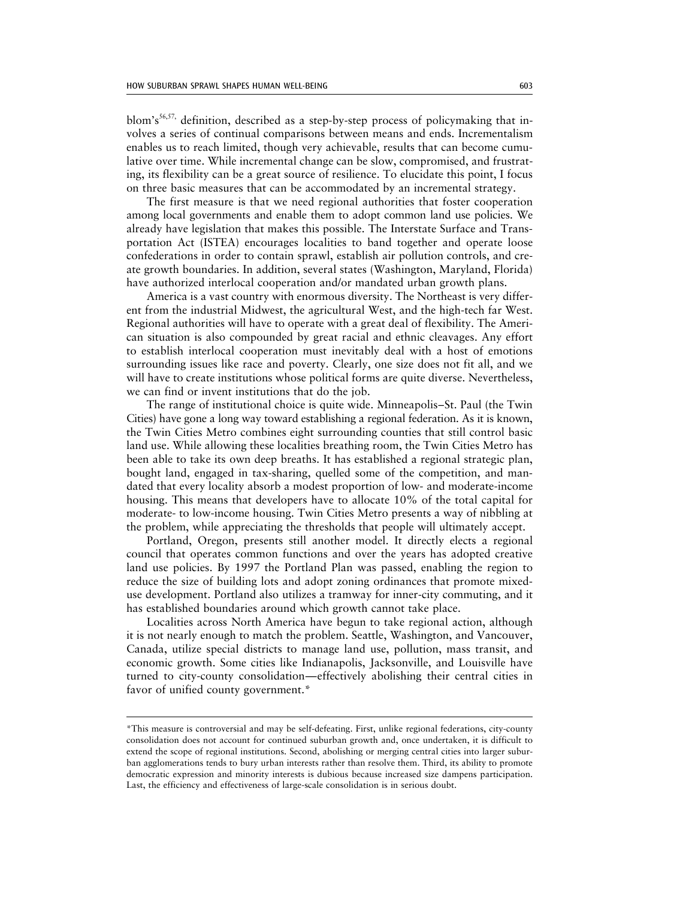blom's<sup>56,57,</sup> definition, described as a step-by-step process of policymaking that involves a series of continual comparisons between means and ends. Incrementalism enables us to reach limited, though very achievable, results that can become cumulative over time. While incremental change can be slow, compromised, and frustrating, its flexibility can be a great source of resilience. To elucidate this point, I focus on three basic measures that can be accommodated by an incremental strategy.

The first measure is that we need regional authorities that foster cooperation among local governments and enable them to adopt common land use policies. We already have legislation that makes this possible. The Interstate Surface and Transportation Act (ISTEA) encourages localities to band together and operate loose confederations in order to contain sprawl, establish air pollution controls, and create growth boundaries. In addition, several states (Washington, Maryland, Florida) have authorized interlocal cooperation and/or mandated urban growth plans.

America is a vast country with enormous diversity. The Northeast is very different from the industrial Midwest, the agricultural West, and the high-tech far West. Regional authorities will have to operate with a great deal of flexibility. The American situation is also compounded by great racial and ethnic cleavages. Any effort to establish interlocal cooperation must inevitably deal with a host of emotions surrounding issues like race and poverty. Clearly, one size does not fit all, and we will have to create institutions whose political forms are quite diverse. Nevertheless, we can find or invent institutions that do the job.

The range of institutional choice is quite wide. Minneapolis–St. Paul (the Twin Cities) have gone a long way toward establishing a regional federation. As it is known, the Twin Cities Metro combines eight surrounding counties that still control basic land use. While allowing these localities breathing room, the Twin Cities Metro has been able to take its own deep breaths. It has established a regional strategic plan, bought land, engaged in tax-sharing, quelled some of the competition, and mandated that every locality absorb a modest proportion of low- and moderate-income housing. This means that developers have to allocate 10% of the total capital for moderate- to low-income housing. Twin Cities Metro presents a way of nibbling at the problem, while appreciating the thresholds that people will ultimately accept.

Portland, Oregon, presents still another model. It directly elects a regional council that operates common functions and over the years has adopted creative land use policies. By 1997 the Portland Plan was passed, enabling the region to reduce the size of building lots and adopt zoning ordinances that promote mixeduse development. Portland also utilizes a tramway for inner-city commuting, and it has established boundaries around which growth cannot take place.

Localities across North America have begun to take regional action, although it is not nearly enough to match the problem. Seattle, Washington, and Vancouver, Canada, utilize special districts to manage land use, pollution, mass transit, and economic growth. Some cities like Indianapolis, Jacksonville, and Louisville have turned to city-county consolidation—effectively abolishing their central cities in favor of unified county government.\*

<sup>\*</sup>This measure is controversial and may be self-defeating. First, unlike regional federations, city-county consolidation does not account for continued suburban growth and, once undertaken, it is difficult to extend the scope of regional institutions. Second, abolishing or merging central cities into larger suburban agglomerations tends to bury urban interests rather than resolve them. Third, its ability to promote democratic expression and minority interests is dubious because increased size dampens participation. Last, the efficiency and effectiveness of large-scale consolidation is in serious doubt.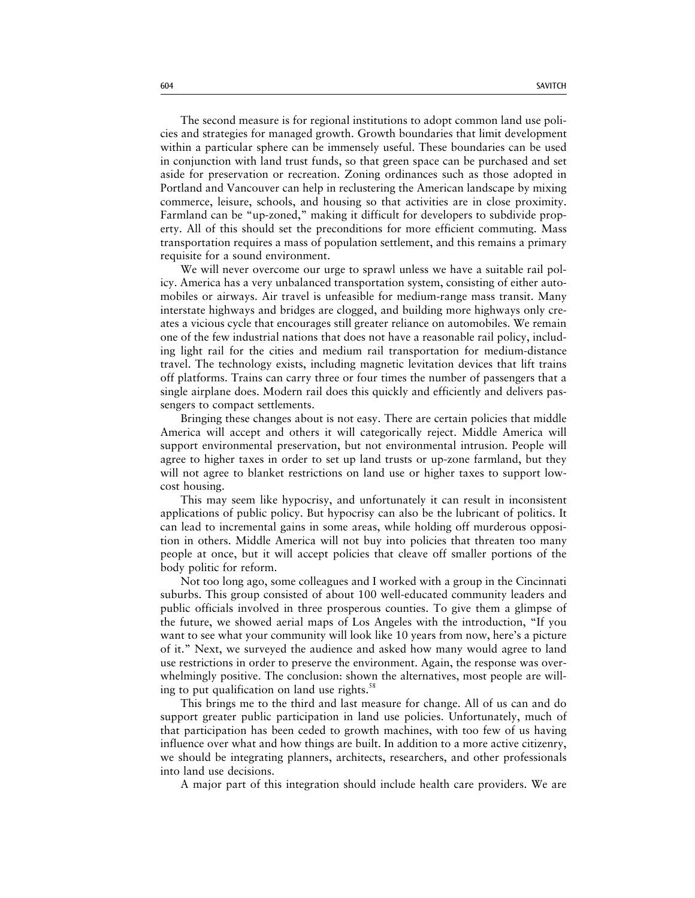The second measure is for regional institutions to adopt common land use policies and strategies for managed growth. Growth boundaries that limit development within a particular sphere can be immensely useful. These boundaries can be used in conjunction with land trust funds, so that green space can be purchased and set aside for preservation or recreation. Zoning ordinances such as those adopted in Portland and Vancouver can help in reclustering the American landscape by mixing commerce, leisure, schools, and housing so that activities are in close proximity. Farmland can be "up-zoned," making it difficult for developers to subdivide property. All of this should set the preconditions for more efficient commuting. Mass transportation requires a mass of population settlement, and this remains a primary requisite for a sound environment.

We will never overcome our urge to sprawl unless we have a suitable rail policy. America has a very unbalanced transportation system, consisting of either automobiles or airways. Air travel is unfeasible for medium-range mass transit. Many interstate highways and bridges are clogged, and building more highways only creates a vicious cycle that encourages still greater reliance on automobiles. We remain one of the few industrial nations that does not have a reasonable rail policy, including light rail for the cities and medium rail transportation for medium-distance travel. The technology exists, including magnetic levitation devices that lift trains off platforms. Trains can carry three or four times the number of passengers that a single airplane does. Modern rail does this quickly and efficiently and delivers passengers to compact settlements.

Bringing these changes about is not easy. There are certain policies that middle America will accept and others it will categorically reject. Middle America will support environmental preservation, but not environmental intrusion. People will agree to higher taxes in order to set up land trusts or up-zone farmland, but they will not agree to blanket restrictions on land use or higher taxes to support lowcost housing.

This may seem like hypocrisy, and unfortunately it can result in inconsistent applications of public policy. But hypocrisy can also be the lubricant of politics. It can lead to incremental gains in some areas, while holding off murderous opposition in others. Middle America will not buy into policies that threaten too many people at once, but it will accept policies that cleave off smaller portions of the body politic for reform.

Not too long ago, some colleagues and I worked with a group in the Cincinnati suburbs. This group consisted of about 100 well-educated community leaders and public officials involved in three prosperous counties. To give them a glimpse of the future, we showed aerial maps of Los Angeles with the introduction, "If you want to see what your community will look like 10 years from now, here's a picture of it." Next, we surveyed the audience and asked how many would agree to land use restrictions in order to preserve the environment. Again, the response was overwhelmingly positive. The conclusion: shown the alternatives, most people are willing to put qualification on land use rights. $58$ 

This brings me to the third and last measure for change. All of us can and do support greater public participation in land use policies. Unfortunately, much of that participation has been ceded to growth machines, with too few of us having influence over what and how things are built. In addition to a more active citizenry, we should be integrating planners, architects, researchers, and other professionals into land use decisions.

A major part of this integration should include health care providers. We are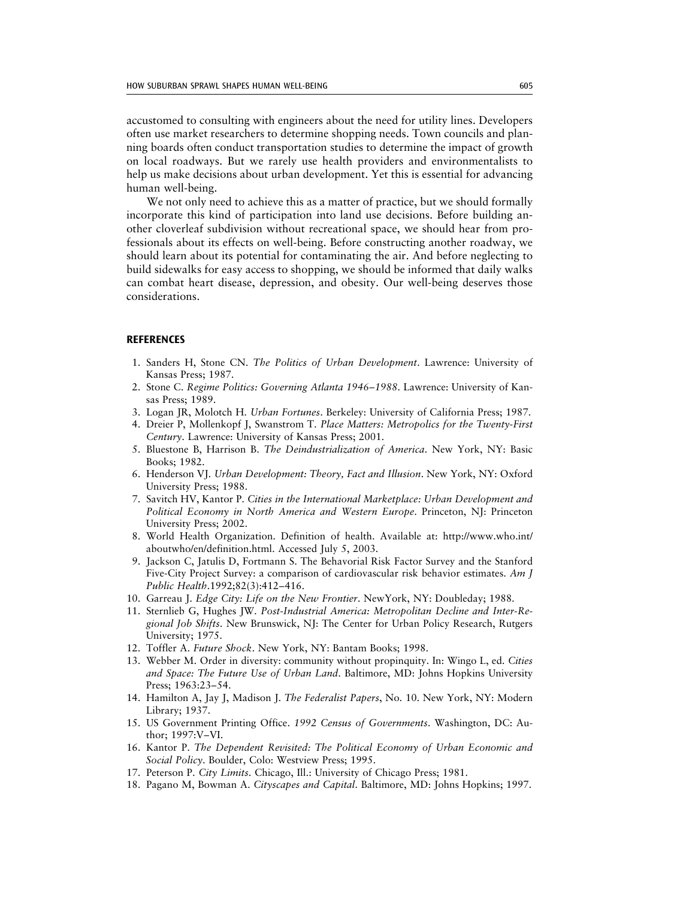accustomed to consulting with engineers about the need for utility lines. Developers often use market researchers to determine shopping needs. Town councils and planning boards often conduct transportation studies to determine the impact of growth on local roadways. But we rarely use health providers and environmentalists to help us make decisions about urban development. Yet this is essential for advancing human well-being.

We not only need to achieve this as a matter of practice, but we should formally incorporate this kind of participation into land use decisions. Before building another cloverleaf subdivision without recreational space, we should hear from professionals about its effects on well-being. Before constructing another roadway, we should learn about its potential for contaminating the air. And before neglecting to build sidewalks for easy access to shopping, we should be informed that daily walks can combat heart disease, depression, and obesity. Our well-being deserves those considerations.

## **REFERENCES**

- 1. Sanders H, Stone CN. *The Politics of Urban Development*. Lawrence: University of Kansas Press; 1987.
- 2. Stone C. *Regime Politics: Governing Atlanta 1946–1988*. Lawrence: University of Kansas Press; 1989.
- 3. Logan JR, Molotch H. *Urban Fortunes*. Berkeley: University of California Press; 1987.
- 4. Dreier P, Mollenkopf J, Swanstrom T. *Place Matters: Metropolics for the Twenty-First Century*. Lawrence: University of Kansas Press; 2001.
- 5. Bluestone B, Harrison B. *The Deindustrialization of America*. New York, NY: Basic Books; 1982.
- 6. Henderson VJ. *Urban Development: Theory, Fact and Illusion*. New York, NY: Oxford University Press; 1988.
- 7. Savitch HV, Kantor P. *Cities in the International Marketplace: Urban Development and Political Economy in North America and Western Europe*. Princeton, NJ: Princeton University Press; 2002.
- 8. World Health Organization. Definition of health. Available at:<http://www.who.int/> aboutwho/en/definition.html. Accessed July 5, 2003.
- 9. Jackson C, Jatulis D, Fortmann S. The Behavorial Risk Factor Survey and the Stanford Five-City Project Survey: a comparison of cardiovascular risk behavior estimates. *Am J Public Health*.1992;82(3):412–416.
- 10. Garreau J. *Edge City: Life on the New Frontier*. NewYork, NY: Doubleday; 1988.
- 11. Sternlieb G, Hughes JW. *Post-Industrial America: Metropolitan Decline and Inter-Regional Job Shifts*. New Brunswick, NJ: The Center for Urban Policy Research, Rutgers University; 1975.
- 12. Toffler A. *Future Shock*. New York, NY: Bantam Books; 1998.
- 13. Webber M. Order in diversity: community without propinquity. In: Wingo L, ed. *Cities and Space: The Future Use of Urban Land*. Baltimore, MD: Johns Hopkins University Press; 1963:23–54.
- 14. Hamilton A, Jay J, Madison J. *The Federalist Papers*, No. 10. New York, NY: Modern Library; 1937.
- 15. US Government Printing Office. *1992 Census of Governments*. Washington, DC: Author; 1997:V–VI.
- 16. Kantor P. *The Dependent Revisited: The Political Economy of Urban Economic and Social Policy*. Boulder, Colo: Westview Press; 1995.
- 17. Peterson P. *City Limits*. Chicago, Ill.: University of Chicago Press; 1981.
- 18. Pagano M, Bowman A. *Cityscapes and Capital*. Baltimore, MD: Johns Hopkins; 1997.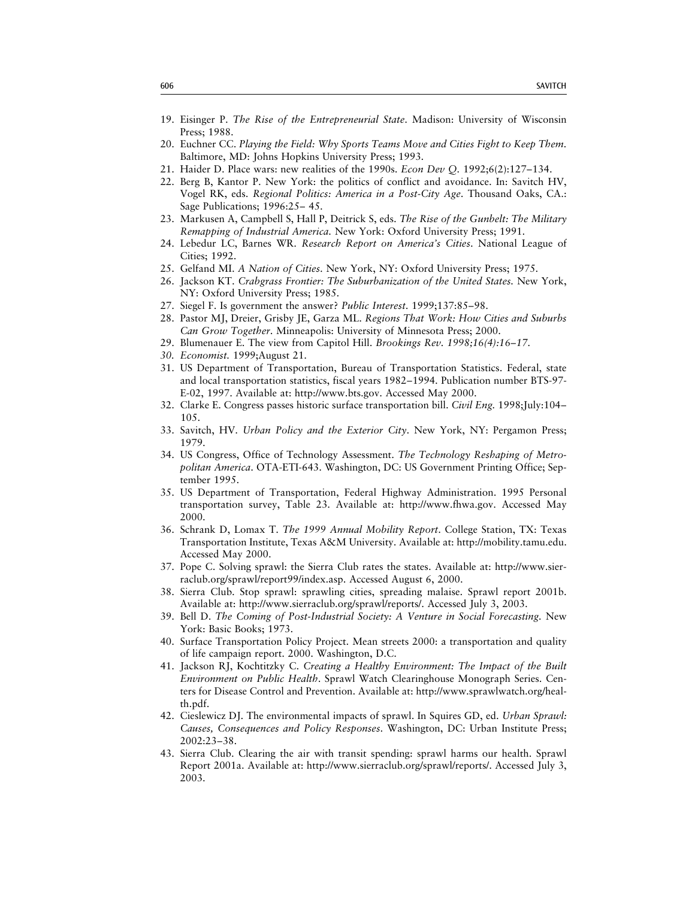- 19. Eisinger P. *The Rise of the Entrepreneurial State*. Madison: University of Wisconsin Press; 1988.
- 20. Euchner CC. *Playing the Field: Why Sports Teams Move and Cities Fight to Keep Them.* Baltimore, MD: Johns Hopkins University Press; 1993.
- 21. Haider D. Place wars: new realities of the 1990s. *Econ Dev Q.* 1992;6(2):127–134.
- 22. Berg B, Kantor P. New York: the politics of conflict and avoidance. In: Savitch HV, Vogel RK, eds. *Regional Politics: America in a Post-City Age*. Thousand Oaks, CA.: Sage Publications; 1996:25– 45.
- 23. Markusen A, Campbell S, Hall P, Deitrick S, eds. *The Rise of the Gunbelt: The Military Remapping of Industrial America.* New York: Oxford University Press; 1991.
- 24. Lebedur LC, Barnes WR. *Research Report on America's Cities*. National League of Cities; 1992.
- 25. Gelfand MI. *A Nation of Cities*. New York, NY: Oxford University Press; 1975.
- 26. Jackson KT. *Crabgrass Frontier: The Suburbanization of the United States.* New York, NY: Oxford University Press; 1985.
- 27. Siegel F. Is government the answer? *Public Interest*. 1999;137:85–98.
- 28. Pastor MJ, Dreier, Grisby JE, Garza ML. *Regions That Work: How Cities and Suburbs Can Grow Together*. Minneapolis: University of Minnesota Press; 2000.
- 29. Blumenauer E. The view from Capitol Hill. *Brookings Rev. 1998;16(4):16–17.*
- *30. Economist.* 1999;August 21.
- 31. US Department of Transportation, Bureau of Transportation Statistics. Federal, state and local transportation statistics, fiscal years 1982–1994. Publication number BTS-97- E-02, 1997. Available at: [http://www.bts.gov.](http://www.bts.gov) Accessed May 2000.
- 32. Clarke E. Congress passes historic surface transportation bill. *Civil Eng.* 1998;July:104– 105.
- 33. Savitch, HV. *Urban Policy and the Exterior City*. New York, NY: Pergamon Press; 1979.
- 34. US Congress, Office of Technology Assessment. *The Technology Reshaping of Metropolitan America*. OTA-ETI-643. Washington, DC: US Government Printing Office; September 1995.
- 35. US Department of Transportation, Federal Highway Administration. 1995 Personal transportation survey, Table 23. Available at: [http://www.fhwa.gov.](http://www.fhwa.gov) Accessed May 2000.
- 36. Schrank D, Lomax T. *The 1999 Annual Mobility Report*. College Station, TX: Texas Transportation Institute, Texas A&M University. Available at: [http://mobility.tamu.edu.](http://mobility.tamu.edu) Accessed May 2000.
- 37. [Pope C. Solving sprawl: the Sierra Club rates the states. Available at: http://www.sier](http://www.sierraclub.org/sprawl/report99/index.asp)raclub.org/sprawl/report99/index.asp. Accessed August 6, 2000.
- 38. Sierra Club. Stop sprawl: sprawling cities, spreading malaise. Sprawl report 2001b. Available at: [http://www.sierraclub.org/sprawl/reports/.](http://www.sierraclub.org/sprawl/reports/) Accessed July 3, 2003.
- 39. Bell D. *The Coming of Post-Industrial Society: A Venture in Social Forecasting.* New York: Basic Books; 1973.
- 40. Surface Transportation Policy Project. Mean streets 2000: a transportation and quality of life campaign report. 2000. Washington, D.C.
- 41. Jackson RJ, Kochtitzky C. *Creating a Healthy Environment: The Impact of the Built Environment on Public Health*. Sprawl Watch Clearinghouse Monograph Series. Cen[ters for Disease Control and Prevention. Available at: http://www.sprawlwatch.org/heal](http://www.sprawlwatch.org/health.pdf)th.pdf.
- 42. Cieslewicz DJ. The environmental impacts of sprawl. In Squires GD, ed. *Urban Sprawl: Causes, Consequences and Policy Responses*. Washington, DC: Urban Institute Press; 2002:23–38.
- 43. Sierra Club. Clearing the air with transit spending: sprawl harms our health. Sprawl Report 2001a. Available at: [http://www.sierraclub.org/sprawl/reports/.](http://www.sierraclub.org/sprawl/reports/) Accessed July 3, 2003.